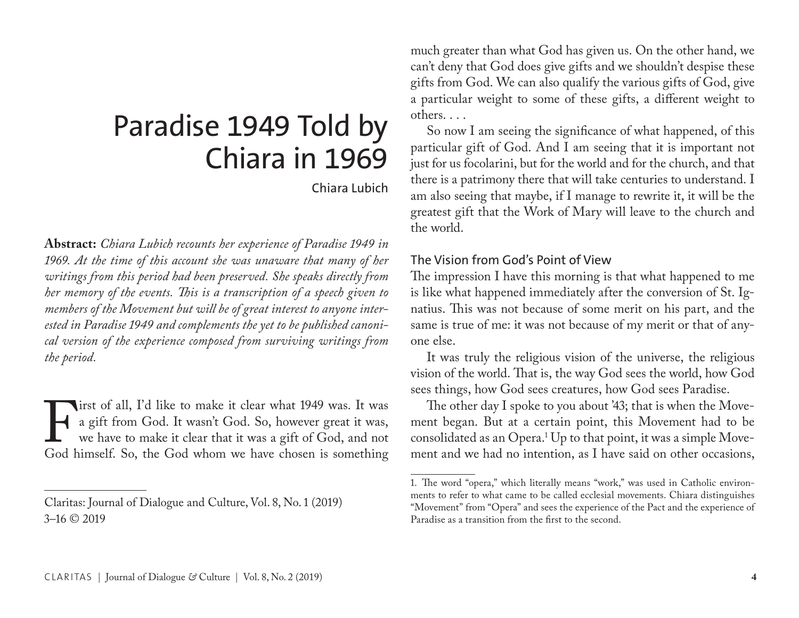# Paradise 1949 Told by Chiara in 1969

Chiara Lubich

**Abstract:** *Chiara Lubich recounts her experience of Paradise 1949 in 1969. At the time of this account she was unaware that many of her writings from this period had been preserved. She speaks directly from her memory of the events. This is a transcription of a speech given to members of the Movement but will be of great interest to anyone interested in Paradise 1949 and complements the yet to be published canonical version of the experience composed from surviving writings from the period.* 

It is to the all, I'd like to make it clear what 1949 was. It was a gift from God. It wasn't God. So, however great it was, we have to make it clear that it was a gift of God, and not God himself. So, the God whom we have a gift from God. It wasn't God. So, however great it was, we have to make it clear that it was a gift of God, and not God himself. So, the God whom we have chosen is something

much greater than what God has given us. On the other hand, we can't deny that God does give gifts and we shouldn't despise these gifts from God. We can also qualify the various gifts of God, give a particular weight to some of these gifts, a different weight to others. . . .

So now I am seeing the significance of what happened, of this particular gift of God. And I am seeing that it is important not just for us focolarini, but for the world and for the church, and that there is a patrimony there that will take centuries to understand. I am also seeing that maybe, if I manage to rewrite it, it will be the greatest gift that the Work of Mary will leave to the church and the world.

## The Vision from God's Point of View

The impression I have this morning is that what happened to me is like what happened immediately after the conversion of St. Ignatius. This was not because of some merit on his part, and the same is true of me: it was not because of my merit or that of anyone else.

It was truly the religious vision of the universe, the religious vision of the world. That is, the way God sees the world, how God sees things, how God sees creatures, how God sees Paradise.

The other day I spoke to you about '43; that is when the Movement began. But at a certain point, this Movement had to be consolidated as an Opera.<sup>1</sup> Up to that point, it was a simple Movement and we had no intention, as I have said on other occasions,

Claritas: Journal of Dialogue and Culture, Vol. 8, No. 1 (2019) 3–16 © 2019

<sup>1.</sup> The word "opera," which literally means "work," was used in Catholic environments to refer to what came to be called ecclesial movements. Chiara distinguishes "Movement" from "Opera" and sees the experience of the Pact and the experience of Paradise as a transition from the first to the second.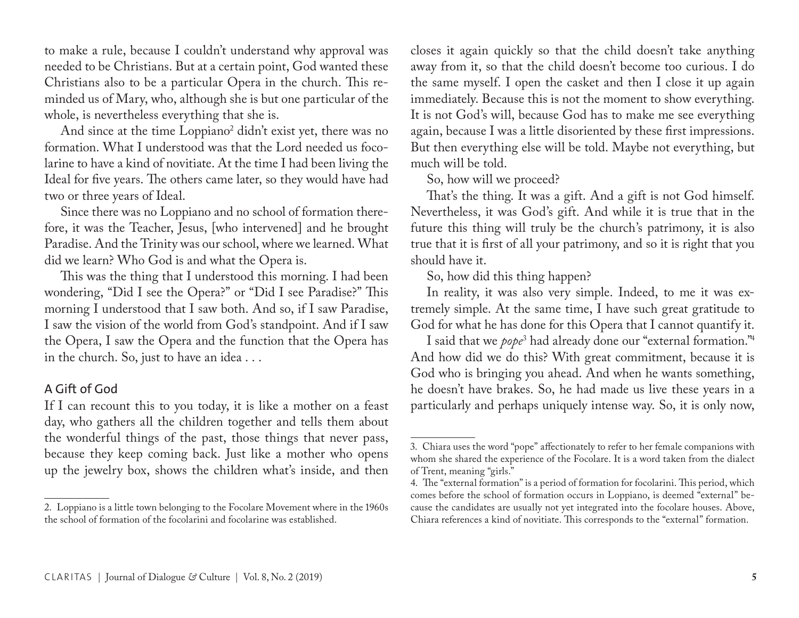to make a rule, because I couldn't understand why approval was needed to be Christians. But at a certain point, God wanted these Christians also to be a particular Opera in the church. This reminded us of Mary, who, although she is but one particular of the whole, is nevertheless everything that she is.

And since at the time Loppiano<sup>2</sup> didn't exist yet, there was no formation. What I understood was that the Lord needed us focolarine to have a kind of novitiate. At the time I had been living the Ideal for five years. The others came later, so they would have had two or three years of Ideal.

Since there was no Loppiano and no school of formation therefore, it was the Teacher, Jesus, [who intervened] and he brought Paradise. And the Trinity was our school, where we learned. What did we learn? Who God is and what the Opera is.

This was the thing that I understood this morning. I had been wondering, "Did I see the Opera?" or "Did I see Paradise?" This morning I understood that I saw both. And so, if I saw Paradise, I saw the vision of the world from God's standpoint. And if I saw the Opera, I saw the Opera and the function that the Opera has in the church. So, just to have an idea . . .

## A Gift of God

If I can recount this to you today, it is like a mother on a feast day, who gathers all the children together and tells them about the wonderful things of the past, those things that never pass, because they keep coming back. Just like a mother who opens up the jewelry box, shows the children what's inside, and then

closes it again quickly so that the child doesn't take anything away from it, so that the child doesn't become too curious. I do the same myself. I open the casket and then I close it up again immediately. Because this is not the moment to show everything. It is not God's will, because God has to make me see everything again, because I was a little disoriented by these first impressions. But then everything else will be told. Maybe not everything, but much will be told.

So, how will we proceed?

That's the thing. It was a gift. And a gift is not God himself. Nevertheless, it was God's gift. And while it is true that in the future this thing will truly be the church's patrimony, it is also true that it is first of all your patrimony, and so it is right that you should have it.

So, how did this thing happen?

In reality, it was also very simple. Indeed, to me it was extremely simple. At the same time, I have such great gratitude to God for what he has done for this Opera that I cannot quantify it.

I said that we *pope*<sup>3</sup> had already done our "external formation."4 And how did we do this? With great commitment, because it is God who is bringing you ahead. And when he wants something, he doesn't have brakes. So, he had made us live these years in a particularly and perhaps uniquely intense way. So, it is only now,

<sup>2.</sup> Loppiano is a little town belonging to the Focolare Movement where in the 1960s the school of formation of the focolarini and focolarine was established.

<sup>3.</sup> Chiara uses the word "pope" affectionately to refer to her female companions with whom she shared the experience of the Focolare. It is a word taken from the dialect of Trent, meaning "girls."

<sup>4.</sup> The "external formation" is a period of formation for focolarini. This period, which comes before the school of formation occurs in Loppiano, is deemed "external" because the candidates are usually not yet integrated into the focolare houses. Above, Chiara references a kind of novitiate. This corresponds to the "external" formation.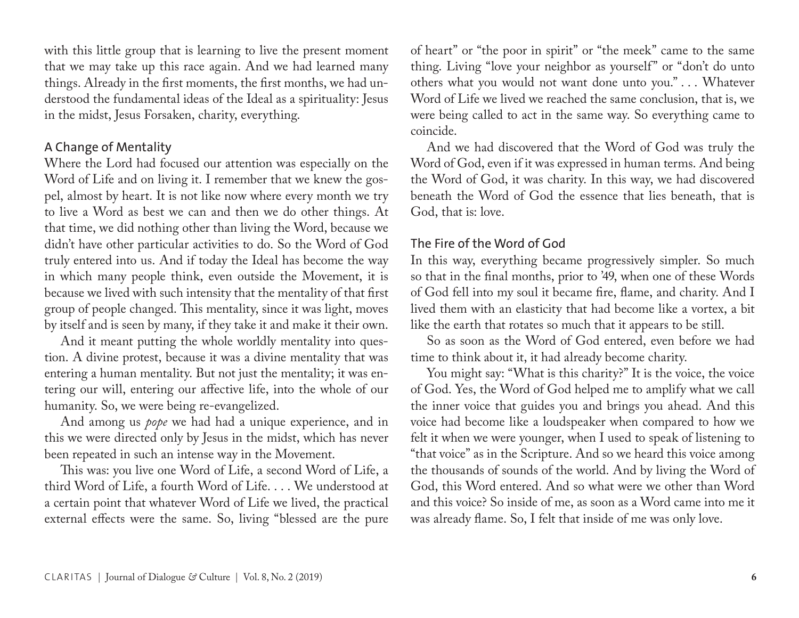with this little group that is learning to live the present moment that we may take up this race again. And we had learned many things. Already in the first moments, the first months, we had understood the fundamental ideas of the Ideal as a spirituality: Jesus in the midst, Jesus Forsaken, charity, everything.

## A Change of Mentality

Where the Lord had focused our attention was especially on the Word of Life and on living it. I remember that we knew the gospel, almost by heart. It is not like now where every month we try to live a Word as best we can and then we do other things. At that time, we did nothing other than living the Word, because we didn't have other particular activities to do. So the Word of God truly entered into us. And if today the Ideal has become the way in which many people think, even outside the Movement, it is because we lived with such intensity that the mentality of that first group of people changed. This mentality, since it was light, moves by itself and is seen by many, if they take it and make it their own.

And it meant putting the whole worldly mentality into question. A divine protest, because it was a divine mentality that was entering a human mentality. But not just the mentality; it was entering our will, entering our affective life, into the whole of our humanity. So, we were being re-evangelized.

And among us *pope* we had had a unique experience, and in this we were directed only by Jesus in the midst, which has never been repeated in such an intense way in the Movement.

This was: you live one Word of Life, a second Word of Life, a third Word of Life, a fourth Word of Life. . . . We understood at a certain point that whatever Word of Life we lived, the practical external effects were the same. So, living "blessed are the pure

of heart" or "the poor in spirit" or "the meek" came to the same thing. Living "love your neighbor as yourself" or "don't do unto others what you would not want done unto you." . . . Whatever Word of Life we lived we reached the same conclusion, that is, we were being called to act in the same way. So everything came to coincide.

And we had discovered that the Word of God was truly the Word of God, even if it was expressed in human terms. And being the Word of God, it was charity. In this way, we had discovered beneath the Word of God the essence that lies beneath, that is God, that is: love.

#### The Fire of the Word of God

In this way, everything became progressively simpler. So much so that in the final months, prior to '49, when one of these Words of God fell into my soul it became fire, flame, and charity. And I lived them with an elasticity that had become like a vortex, a bit like the earth that rotates so much that it appears to be still.

So as soon as the Word of God entered, even before we had time to think about it, it had already become charity.

You might say: "What is this charity?" It is the voice, the voice of God. Yes, the Word of God helped me to amplify what we call the inner voice that guides you and brings you ahead. And this voice had become like a loudspeaker when compared to how we felt it when we were younger, when I used to speak of listening to "that voice" as in the Scripture. And so we heard this voice among the thousands of sounds of the world. And by living the Word of God, this Word entered. And so what were we other than Word and this voice? So inside of me, as soon as a Word came into me it was already flame. So, I felt that inside of me was only love.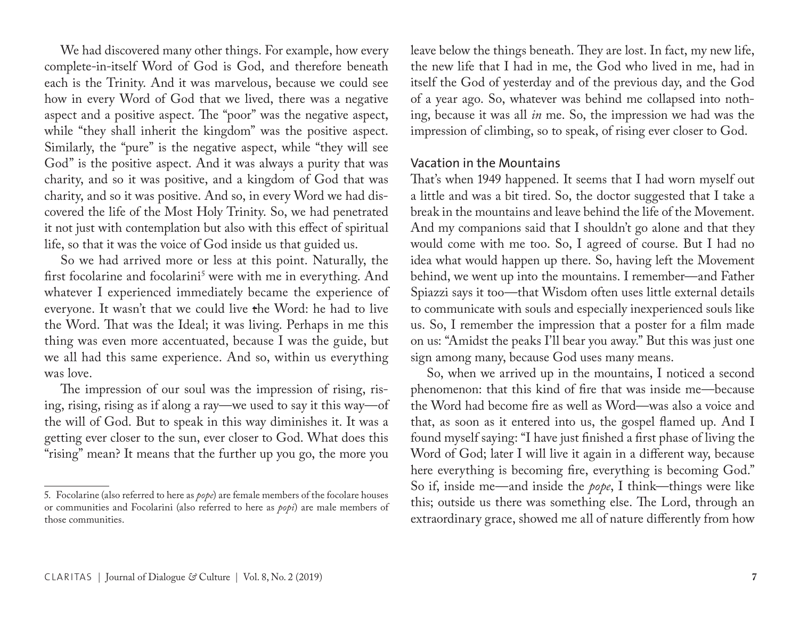We had discovered many other things. For example, how every complete-in-itself Word of God is God, and therefore beneath each is the Trinity. And it was marvelous, because we could see how in every Word of God that we lived, there was a negative aspect and a positive aspect. The "poor" was the negative aspect, while "they shall inherit the kingdom" was the positive aspect. Similarly, the "pure" is the negative aspect, while "they will see God" is the positive aspect. And it was always a purity that was charity, and so it was positive, and a kingdom of God that was charity, and so it was positive. And so, in every Word we had discovered the life of the Most Holy Trinity. So, we had penetrated it not just with contemplation but also with this effect of spiritual life, so that it was the voice of God inside us that guided us.

So we had arrived more or less at this point. Naturally, the first focolarine and focolarini<sup>5</sup> were with me in everything. And whatever I experienced immediately became the experience of everyone. It wasn't that we could live the Word: he had to live the Word. That was the Ideal; it was living. Perhaps in me this thing was even more accentuated, because I was the guide, but we all had this same experience. And so, within us everything was love.

The impression of our soul was the impression of rising, rising, rising, rising as if along a ray—we used to say it this way—of the will of God. But to speak in this way diminishes it. It was a getting ever closer to the sun, ever closer to God. What does this "rising" mean? It means that the further up you go, the more you

leave below the things beneath. They are lost. In fact, my new life, the new life that I had in me, the God who lived in me, had in itself the God of yesterday and of the previous day, and the God of a year ago. So, whatever was behind me collapsed into nothing, because it was all *in* me. So, the impression we had was the impression of climbing, so to speak, of rising ever closer to God.

#### Vacation in the Mountains

That's when 1949 happened. It seems that I had worn myself out a little and was a bit tired. So, the doctor suggested that I take a break in the mountains and leave behind the life of the Movement. And my companions said that I shouldn't go alone and that they would come with me too. So, I agreed of course. But I had no idea what would happen up there. So, having left the Movement behind, we went up into the mountains. I remember—and Father Spiazzi says it too—that Wisdom often uses little external details to communicate with souls and especially inexperienced souls like us. So, I remember the impression that a poster for a film made on us: "Amidst the peaks I'll bear you away." But this was just one sign among many, because God uses many means.

So, when we arrived up in the mountains, I noticed a second phenomenon: that this kind of fire that was inside me—because the Word had become fire as well as Word—was also a voice and that, as soon as it entered into us, the gospel flamed up. And I found myself saying: "I have just finished a first phase of living the Word of God; later I will live it again in a different way, because here everything is becoming fire, everything is becoming God." So if, inside me—and inside the *pope*, I think—things were like this; outside us there was something else. The Lord, through an extraordinary grace, showed me all of nature differently from how

<sup>5.</sup> Focolarine (also referred to here as *pope*) are female members of the focolare houses or communities and Focolarini (also referred to here as *popi*) are male members of those communities.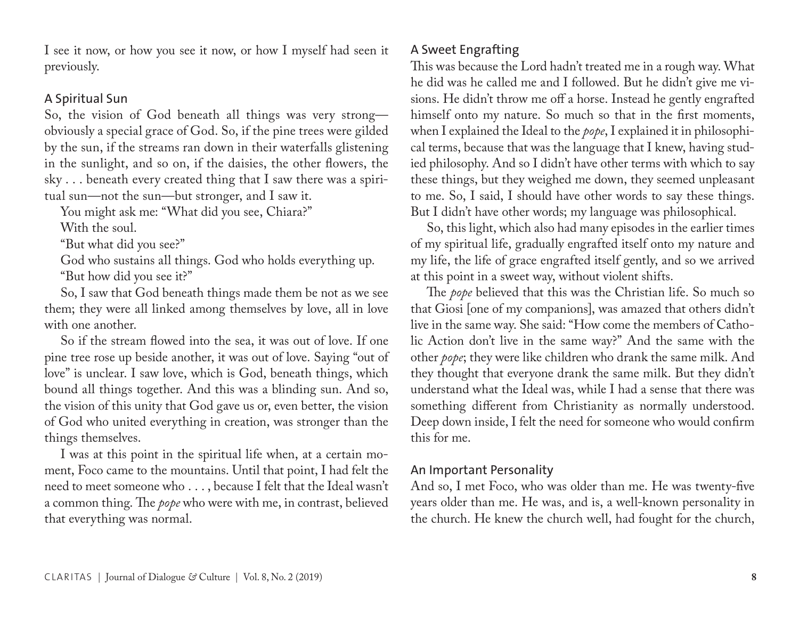I see it now, or how you see it now, or how I myself had seen it previously.

## A Spiritual Sun

So, the vision of God beneath all things was very strong obviously a special grace of God. So, if the pine trees were gilded by the sun, if the streams ran down in their waterfalls glistening in the sunlight, and so on, if the daisies, the other flowers, the sky . . . beneath every created thing that I saw there was a spiritual sun—not the sun—but stronger, and I saw it.

You might ask me: "What did you see, Chiara?"

With the soul.

"But what did you see?"

God who sustains all things. God who holds everything up. "But how did you see it?"

So, I saw that God beneath things made them be not as we see them; they were all linked among themselves by love, all in love with one another.

So if the stream flowed into the sea, it was out of love. If one pine tree rose up beside another, it was out of love. Saying "out of love" is unclear. I saw love, which is God, beneath things, which bound all things together. And this was a blinding sun. And so, the vision of this unity that God gave us or, even better, the vision of God who united everything in creation, was stronger than the things themselves.

I was at this point in the spiritual life when, at a certain moment, Foco came to the mountains. Until that point, I had felt the need to meet someone who . . . , because I felt that the Ideal wasn't a common thing. The *pope* who were with me, in contrast, believed that everything was normal.

# A Sweet Engrafting

This was because the Lord hadn't treated me in a rough way. What he did was he called me and I followed. But he didn't give me visions. He didn't throw me off a horse. Instead he gently engrafted himself onto my nature. So much so that in the first moments, when I explained the Ideal to the *pope*, I explained it in philosophical terms, because that was the language that I knew, having studied philosophy. And so I didn't have other terms with which to say these things, but they weighed me down, they seemed unpleasant to me. So, I said, I should have other words to say these things. But I didn't have other words; my language was philosophical.

So, this light, which also had many episodes in the earlier times of my spiritual life, gradually engrafted itself onto my nature and my life, the life of grace engrafted itself gently, and so we arrived at this point in a sweet way, without violent shifts.

The *pope* believed that this was the Christian life. So much so that Giosi [one of my companions], was amazed that others didn't live in the same way. She said: "How come the members of Catholic Action don't live in the same way?" And the same with the other *pope*; they were like children who drank the same milk. And they thought that everyone drank the same milk. But they didn't understand what the Ideal was, while I had a sense that there was something different from Christianity as normally understood. Deep down inside, I felt the need for someone who would confirm this for me.

# An Important Personality

And so, I met Foco, who was older than me. He was twenty-five years older than me. He was, and is, a well-known personality in the church. He knew the church well, had fought for the church,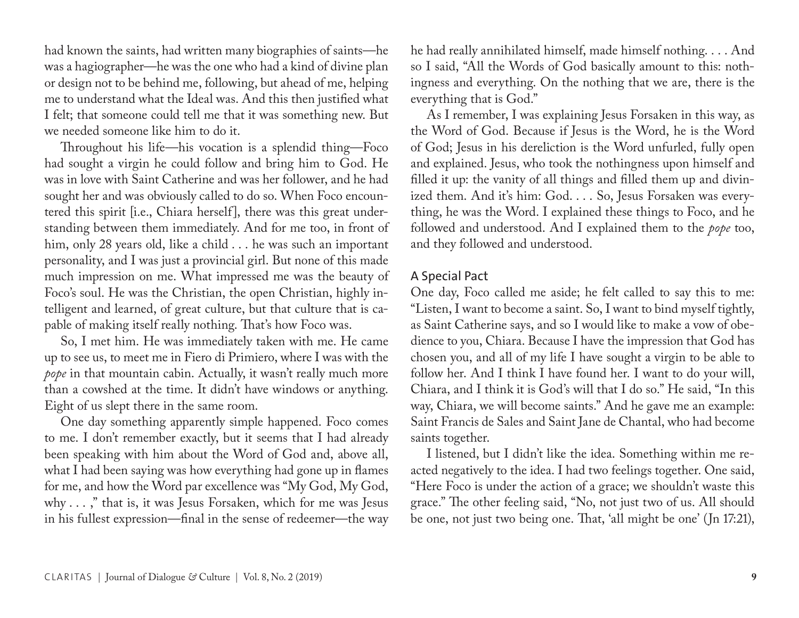had known the saints, had written many biographies of saints—he was a hagiographer—he was the one who had a kind of divine plan or design not to be behind me, following, but ahead of me, helping me to understand what the Ideal was. And this then justified what I felt; that someone could tell me that it was something new. But we needed someone like him to do it.

Throughout his life—his vocation is a splendid thing—Foco had sought a virgin he could follow and bring him to God. He was in love with Saint Catherine and was her follower, and he had sought her and was obviously called to do so. When Foco encountered this spirit [i.e., Chiara herself], there was this great understanding between them immediately. And for me too, in front of him, only 28 years old, like a child . . . he was such an important personality, and I was just a provincial girl. But none of this made much impression on me. What impressed me was the beauty of Foco's soul. He was the Christian, the open Christian, highly intelligent and learned, of great culture, but that culture that is capable of making itself really nothing. That's how Foco was.

So, I met him. He was immediately taken with me. He came up to see us, to meet me in Fiero di Primiero, where I was with the *pope* in that mountain cabin. Actually, it wasn't really much more than a cowshed at the time. It didn't have windows or anything. Eight of us slept there in the same room.

One day something apparently simple happened. Foco comes to me. I don't remember exactly, but it seems that I had already been speaking with him about the Word of God and, above all, what I had been saying was how everything had gone up in flames for me, and how the Word par excellence was "My God, My God, why . . . ," that is, it was Jesus Forsaken, which for me was Jesus in his fullest expression—final in the sense of redeemer—the way he had really annihilated himself, made himself nothing. . . . And so I said, "All the Words of God basically amount to this: nothingness and everything. On the nothing that we are, there is the everything that is God."

As I remember, I was explaining Jesus Forsaken in this way, as the Word of God. Because if Jesus is the Word, he is the Word of God; Jesus in his dereliction is the Word unfurled, fully open and explained. Jesus, who took the nothingness upon himself and filled it up: the vanity of all things and filled them up and divinized them. And it's him: God. . . . So, Jesus Forsaken was everything, he was the Word. I explained these things to Foco, and he followed and understood. And I explained them to the *pope* too, and they followed and understood.

#### A Special Pact

One day, Foco called me aside; he felt called to say this to me: "Listen, I want to become a saint. So, I want to bind myself tightly, as Saint Catherine says, and so I would like to make a vow of obedience to you, Chiara. Because I have the impression that God has chosen you, and all of my life I have sought a virgin to be able to follow her. And I think I have found her. I want to do your will, Chiara, and I think it is God's will that I do so." He said, "In this way, Chiara, we will become saints." And he gave me an example: Saint Francis de Sales and Saint Jane de Chantal, who had become saints together.

I listened, but I didn't like the idea. Something within me reacted negatively to the idea. I had two feelings together. One said, "Here Foco is under the action of a grace; we shouldn't waste this grace." The other feeling said, "No, not just two of us. All should be one, not just two being one. That, 'all might be one' (Jn 17:21),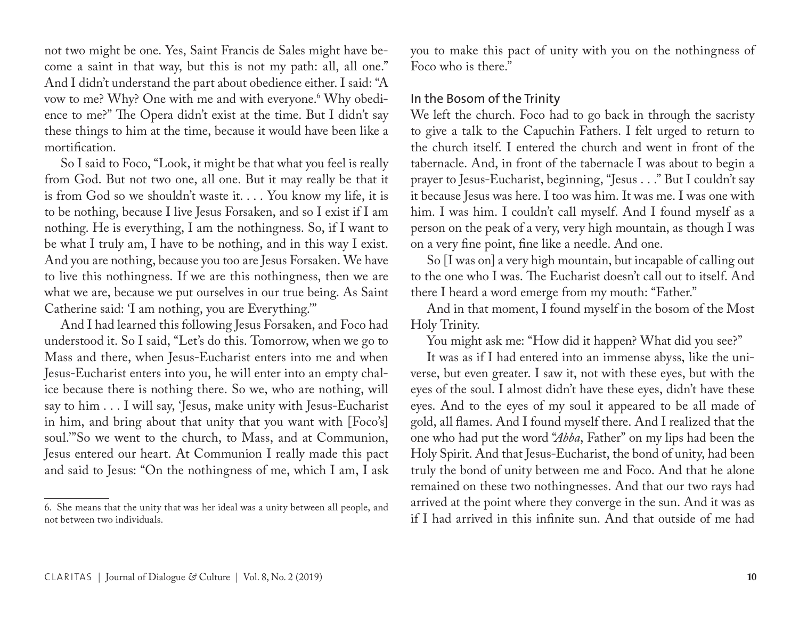not two might be one. Yes, Saint Francis de Sales might have become a saint in that way, but this is not my path: all, all one." And I didn't understand the part about obedience either. I said: "A vow to me? Why? One with me and with everyone. $^6$  Why obedience to me?" The Opera didn't exist at the time. But I didn't say these things to him at the time, because it would have been like a mortification.

So I said to Foco, "Look, it might be that what you feel is really from God. But not two one, all one. But it may really be that it is from God so we shouldn't waste it. . . . You know my life, it is to be nothing, because I live Jesus Forsaken, and so I exist if I am nothing. He is everything, I am the nothingness. So, if I want to be what I truly am, I have to be nothing, and in this way I exist. And you are nothing, because you too are Jesus Forsaken. We have to live this nothingness. If we are this nothingness, then we are what we are, because we put ourselves in our true being. As Saint Catherine said: 'I am nothing, you are Everything.'"

And I had learned this following Jesus Forsaken, and Foco had understood it. So I said, "Let's do this. Tomorrow, when we go to Mass and there, when Jesus-Eucharist enters into me and when Jesus-Eucharist enters into you, he will enter into an empty chalice because there is nothing there. So we, who are nothing, will say to him . . . I will say, 'Jesus, make unity with Jesus-Eucharist in him, and bring about that unity that you want with [Foco's] soul.'"So we went to the church, to Mass, and at Communion, Jesus entered our heart. At Communion I really made this pact and said to Jesus: "On the nothingness of me, which I am, I ask you to make this pact of unity with you on the nothingness of Foco who is there."

#### In the Bosom of the Trinity

We left the church. Foco had to go back in through the sacristy to give a talk to the Capuchin Fathers. I felt urged to return to the church itself. I entered the church and went in front of the tabernacle. And, in front of the tabernacle I was about to begin a prayer to Jesus-Eucharist, beginning, "Jesus . . ." But I couldn't say it because Jesus was here. I too was him. It was me. I was one with him. I was him. I couldn't call myself. And I found myself as a person on the peak of a very, very high mountain, as though I was on a very fine point, fine like a needle. And one.

So [I was on] a very high mountain, but incapable of calling out to the one who I was. The Eucharist doesn't call out to itself. And there I heard a word emerge from my mouth: "Father."

And in that moment, I found myself in the bosom of the Most Holy Trinity.

You might ask me: "How did it happen? What did you see?"

It was as if I had entered into an immense abyss, like the universe, but even greater. I saw it, not with these eyes, but with the eyes of the soul. I almost didn't have these eyes, didn't have these eyes. And to the eyes of my soul it appeared to be all made of gold, all flames. And I found myself there. And I realized that the one who had put the word "*Abba*, Father" on my lips had been the Holy Spirit. And that Jesus-Eucharist, the bond of unity, had been truly the bond of unity between me and Foco. And that he alone remained on these two nothingnesses. And that our two rays had arrived at the point where they converge in the sun. And it was as if I had arrived in this infinite sun. And that outside of me had

<sup>6.</sup> She means that the unity that was her ideal was a unity between all people, and not between two individuals.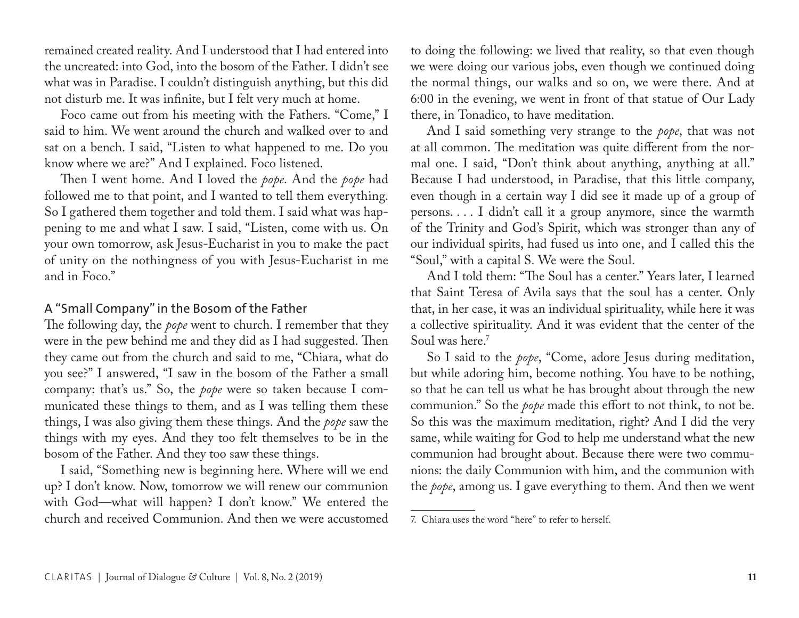remained created reality. And I understood that I had entered into the uncreated: into God, into the bosom of the Father. I didn't see what was in Paradise. I couldn't distinguish anything, but this did not disturb me. It was infinite, but I felt very much at home.

Foco came out from his meeting with the Fathers. "Come," I said to him. We went around the church and walked over to and sat on a bench. I said, "Listen to what happened to me. Do you know where we are?" And I explained. Foco listened.

Then I went home. And I loved the *pope*. And the *pope* had followed me to that point, and I wanted to tell them everything. So I gathered them together and told them. I said what was happening to me and what I saw. I said, "Listen, come with us. On your own tomorrow, ask Jesus-Eucharist in you to make the pact of unity on the nothingness of you with Jesus-Eucharist in me and in Foco."

#### A "Small Company" in the Bosom of the Father

The following day, the *pope* went to church. I remember that they were in the pew behind me and they did as I had suggested. Then they came out from the church and said to me, "Chiara, what do you see?" I answered, "I saw in the bosom of the Father a small company: that's us." So, the *pope* were so taken because I communicated these things to them, and as I was telling them these things, I was also giving them these things. And the *pope* saw the things with my eyes. And they too felt themselves to be in the bosom of the Father. And they too saw these things.

I said, "Something new is beginning here. Where will we end up? I don't know. Now, tomorrow we will renew our communion with God—what will happen? I don't know." We entered the church and received Communion. And then we were accustomed to doing the following: we lived that reality, so that even though we were doing our various jobs, even though we continued doing the normal things, our walks and so on, we were there. And at 6:00 in the evening, we went in front of that statue of Our Lady there, in Tonadico, to have meditation.

And I said something very strange to the *pope*, that was not at all common. The meditation was quite different from the normal one. I said, "Don't think about anything, anything at all." Because I had understood, in Paradise, that this little company, even though in a certain way I did see it made up of a group of persons. . . . I didn't call it a group anymore, since the warmth of the Trinity and God's Spirit, which was stronger than any of our individual spirits, had fused us into one, and I called this the "Soul," with a capital S. We were the Soul.

And I told them: "The Soul has a center." Years later, I learned that Saint Teresa of Avila says that the soul has a center. Only that, in her case, it was an individual spirituality, while here it was a collective spirituality. And it was evident that the center of the Soul was here.7

So I said to the *pope*, "Come, adore Jesus during meditation, but while adoring him, become nothing. You have to be nothing, so that he can tell us what he has brought about through the new communion." So the *pope* made this effort to not think, to not be. So this was the maximum meditation, right? And I did the very same, while waiting for God to help me understand what the new communion had brought about. Because there were two communions: the daily Communion with him, and the communion with the *pope*, among us. I gave everything to them. And then we went

<sup>7.</sup> Chiara uses the word "here" to refer to herself.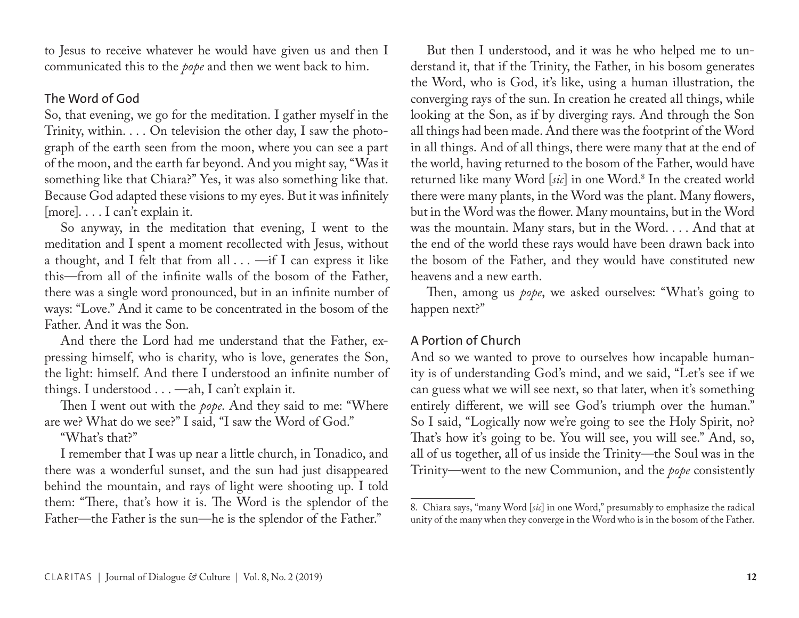to Jesus to receive whatever he would have given us and then I communicated this to the *pope* and then we went back to him.

## The Word of God

So, that evening, we go for the meditation. I gather myself in the Trinity, within. . . . On television the other day, I saw the photograph of the earth seen from the moon, where you can see a part of the moon, and the earth far beyond. And you might say, "Was it something like that Chiara?" Yes, it was also something like that. Because God adapted these visions to my eyes. But it was infinitely [more]. . . . I can't explain it.

So anyway, in the meditation that evening, I went to the meditation and I spent a moment recollected with Jesus, without a thought, and I felt that from all . . . - if I can express it like this—from all of the infinite walls of the bosom of the Father, there was a single word pronounced, but in an infinite number of ways: "Love." And it came to be concentrated in the bosom of the Father. And it was the Son.

And there the Lord had me understand that the Father, expressing himself, who is charity, who is love, generates the Son, the light: himself. And there I understood an infinite number of things. I understood . . . —ah, I can't explain it.

Then I went out with the *pope*. And they said to me: "Where are we? What do we see?" I said, "I saw the Word of God."

"What's that?"

I remember that I was up near a little church, in Tonadico, and there was a wonderful sunset, and the sun had just disappeared behind the mountain, and rays of light were shooting up. I told them: "There, that's how it is. The Word is the splendor of the Father—the Father is the sun—he is the splendor of the Father."

But then I understood, and it was he who helped me to understand it, that if the Trinity, the Father, in his bosom generates the Word, who is God, it's like, using a human illustration, the converging rays of the sun. In creation he created all things, while looking at the Son, as if by diverging rays. And through the Son all things had been made. And there was the footprint of the Word in all things. And of all things, there were many that at the end of the world, having returned to the bosom of the Father, would have returned like many Word [*sic*] in one Word.8 In the created world there were many plants, in the Word was the plant. Many flowers, but in the Word was the flower. Many mountains, but in the Word was the mountain. Many stars, but in the Word. . . . And that at the end of the world these rays would have been drawn back into the bosom of the Father, and they would have constituted new heavens and a new earth.

Then, among us *pope*, we asked ourselves: "What's going to happen next?"

# A Portion of Church

And so we wanted to prove to ourselves how incapable humanity is of understanding God's mind, and we said, "Let's see if we can guess what we will see next, so that later, when it's something entirely different, we will see God's triumph over the human." So I said, "Logically now we're going to see the Holy Spirit, no? That's how it's going to be. You will see, you will see." And, so, all of us together, all of us inside the Trinity—the Soul was in the Trinity—went to the new Communion, and the *pope* consistently

<sup>8.</sup> Chiara says, "many Word [*sic*] in one Word," presumably to emphasize the radical unity of the many when they converge in the Word who is in the bosom of the Father.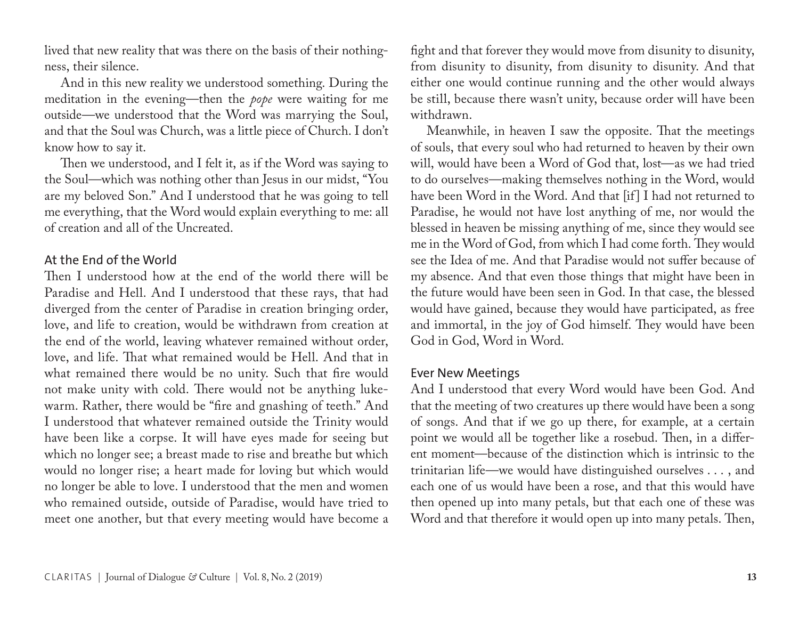lived that new reality that was there on the basis of their nothingness, their silence.

And in this new reality we understood something. During the meditation in the evening—then the *pope* were waiting for me outside—we understood that the Word was marrying the Soul, and that the Soul was Church, was a little piece of Church. I don't know how to say it.

Then we understood, and I felt it, as if the Word was saying to the Soul—which was nothing other than Jesus in our midst, "You are my beloved Son." And I understood that he was going to tell me everything, that the Word would explain everything to me: all of creation and all of the Uncreated.

#### At the End of the World

Then I understood how at the end of the world there will be Paradise and Hell. And I understood that these rays, that had diverged from the center of Paradise in creation bringing order, love, and life to creation, would be withdrawn from creation at the end of the world, leaving whatever remained without order, love, and life. That what remained would be Hell. And that in what remained there would be no unity. Such that fire would not make unity with cold. There would not be anything lukewarm. Rather, there would be "fire and gnashing of teeth." And I understood that whatever remained outside the Trinity would have been like a corpse. It will have eyes made for seeing but which no longer see; a breast made to rise and breathe but which would no longer rise; a heart made for loving but which would no longer be able to love. I understood that the men and women who remained outside, outside of Paradise, would have tried to meet one another, but that every meeting would have become a

fight and that forever they would move from disunity to disunity, from disunity to disunity, from disunity to disunity. And that either one would continue running and the other would always be still, because there wasn't unity, because order will have been withdrawn.

Meanwhile, in heaven I saw the opposite. That the meetings of souls, that every soul who had returned to heaven by their own will, would have been a Word of God that, lost—as we had tried to do ourselves—making themselves nothing in the Word, would have been Word in the Word. And that [if] I had not returned to Paradise, he would not have lost anything of me, nor would the blessed in heaven be missing anything of me, since they would see me in the Word of God, from which I had come forth. They would see the Idea of me. And that Paradise would not suffer because of my absence. And that even those things that might have been in the future would have been seen in God. In that case, the blessed would have gained, because they would have participated, as free and immortal, in the joy of God himself. They would have been God in God, Word in Word.

#### Ever New Meetings

And I understood that every Word would have been God. And that the meeting of two creatures up there would have been a song of songs. And that if we go up there, for example, at a certain point we would all be together like a rosebud. Then, in a different moment—because of the distinction which is intrinsic to the trinitarian life—we would have distinguished ourselves . . . , and each one of us would have been a rose, and that this would have then opened up into many petals, but that each one of these was Word and that therefore it would open up into many petals. Then,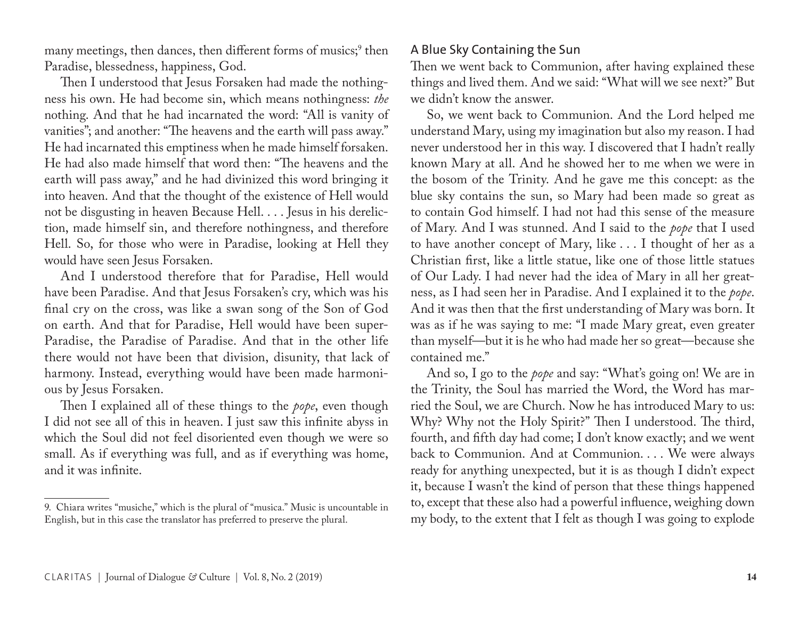many meetings, then dances, then different forms of musics;<sup>9</sup> then Paradise, blessedness, happiness, God.

Then I understood that Jesus Forsaken had made the nothingness his own. He had become sin, which means nothingness: *the* nothing. And that he had incarnated the word: "All is vanity of vanities"; and another: "The heavens and the earth will pass away." He had incarnated this emptiness when he made himself forsaken. He had also made himself that word then: "The heavens and the earth will pass away," and he had divinized this word bringing it into heaven. And that the thought of the existence of Hell would not be disgusting in heaven Because Hell. . . . Jesus in his dereliction, made himself sin, and therefore nothingness, and therefore Hell. So, for those who were in Paradise, looking at Hell they would have seen Jesus Forsaken.

And I understood therefore that for Paradise, Hell would have been Paradise. And that Jesus Forsaken's cry, which was his final cry on the cross, was like a swan song of the Son of God on earth. And that for Paradise, Hell would have been super-Paradise, the Paradise of Paradise. And that in the other life there would not have been that division, disunity, that lack of harmony. Instead, everything would have been made harmonious by Jesus Forsaken.

Then I explained all of these things to the *pope*, even though I did not see all of this in heaven. I just saw this infinite abyss in which the Soul did not feel disoriented even though we were so small. As if everything was full, and as if everything was home, and it was infinite.

## A Blue Sky Containing the Sun

Then we went back to Communion, after having explained these things and lived them. And we said: "What will we see next?" But we didn't know the answer.

So, we went back to Communion. And the Lord helped me understand Mary, using my imagination but also my reason. I had never understood her in this way. I discovered that I hadn't really known Mary at all. And he showed her to me when we were in the bosom of the Trinity. And he gave me this concept: as the blue sky contains the sun, so Mary had been made so great as to contain God himself. I had not had this sense of the measure of Mary. And I was stunned. And I said to the *pope* that I used to have another concept of Mary, like . . . I thought of her as a Christian first, like a little statue, like one of those little statues of Our Lady. I had never had the idea of Mary in all her greatness, as I had seen her in Paradise. And I explained it to the *pope*. And it was then that the first understanding of Mary was born. It was as if he was saying to me: "I made Mary great, even greater than myself—but it is he who had made her so great—because she contained me."

And so, I go to the *pope* and say: "What's going on! We are in the Trinity, the Soul has married the Word, the Word has married the Soul, we are Church. Now he has introduced Mary to us: Why? Why not the Holy Spirit?" Then I understood. The third, fourth, and fifth day had come; I don't know exactly; and we went back to Communion. And at Communion. . . . We were always ready for anything unexpected, but it is as though I didn't expect it, because I wasn't the kind of person that these things happened to, except that these also had a powerful influence, weighing down my body, to the extent that I felt as though I was going to explode

<sup>9.</sup> Chiara writes "musiche," which is the plural of "musica." Music is uncountable in English, but in this case the translator has preferred to preserve the plural.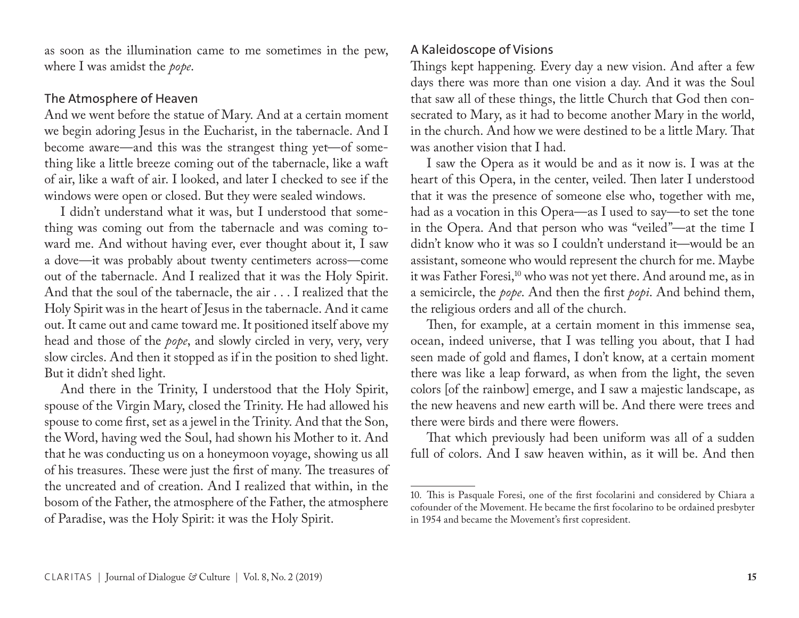as soon as the illumination came to me sometimes in the pew, where I was amidst the *pope*.

#### The Atmosphere of Heaven

And we went before the statue of Mary. And at a certain moment we begin adoring Jesus in the Eucharist, in the tabernacle. And I become aware—and this was the strangest thing yet—of something like a little breeze coming out of the tabernacle, like a waft of air, like a waft of air. I looked, and later I checked to see if the windows were open or closed. But they were sealed windows.

I didn't understand what it was, but I understood that something was coming out from the tabernacle and was coming toward me. And without having ever, ever thought about it, I saw a dove—it was probably about twenty centimeters across—come out of the tabernacle. And I realized that it was the Holy Spirit. And that the soul of the tabernacle, the air . . . I realized that the Holy Spirit was in the heart of Jesus in the tabernacle. And it came out. It came out and came toward me. It positioned itself above my head and those of the *pope*, and slowly circled in very, very, very slow circles. And then it stopped as if in the position to shed light. But it didn't shed light.

And there in the Trinity, I understood that the Holy Spirit, spouse of the Virgin Mary, closed the Trinity. He had allowed his spouse to come first, set as a jewel in the Trinity. And that the Son, the Word, having wed the Soul, had shown his Mother to it. And that he was conducting us on a honeymoon voyage, showing us all of his treasures. These were just the first of many. The treasures of the uncreated and of creation. And I realized that within, in the bosom of the Father, the atmosphere of the Father, the atmosphere of Paradise, was the Holy Spirit: it was the Holy Spirit.

# A Kaleidoscope of Visions

Things kept happening. Every day a new vision. And after a few days there was more than one vision a day. And it was the Soul that saw all of these things, the little Church that God then consecrated to Mary, as it had to become another Mary in the world, in the church. And how we were destined to be a little Mary. That was another vision that I had.

I saw the Opera as it would be and as it now is. I was at the heart of this Opera, in the center, veiled. Then later I understood that it was the presence of someone else who, together with me, had as a vocation in this Opera—as I used to say—to set the tone in the Opera. And that person who was "veiled"—at the time I didn't know who it was so I couldn't understand it—would be an assistant, someone who would represent the church for me. Maybe it was Father Foresi,<sup>10</sup> who was not yet there. And around me, as in a semicircle, the *pope*. And then the first *popi*. And behind them, the religious orders and all of the church.

Then, for example, at a certain moment in this immense sea, ocean, indeed universe, that I was telling you about, that I had seen made of gold and flames, I don't know, at a certain moment there was like a leap forward, as when from the light, the seven colors [of the rainbow] emerge, and I saw a majestic landscape, as the new heavens and new earth will be. And there were trees and there were birds and there were flowers.

That which previously had been uniform was all of a sudden full of colors. And I saw heaven within, as it will be. And then

<sup>10.</sup> This is Pasquale Foresi, one of the first focolarini and considered by Chiara a cofounder of the Movement. He became the first focolarino to be ordained presbyter in 1954 and became the Movement's first copresident.